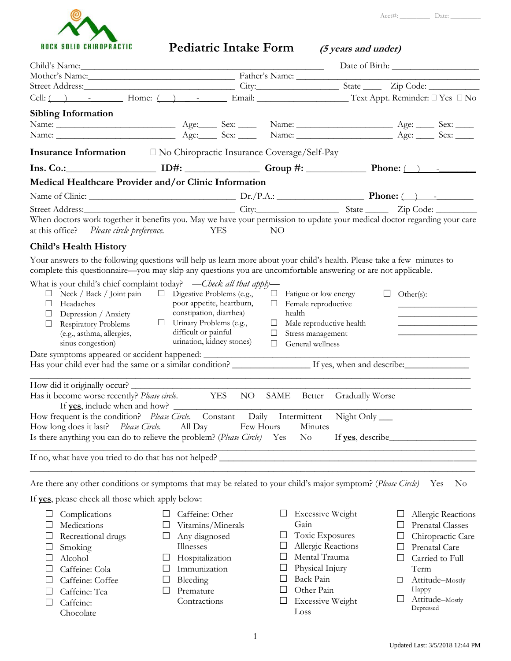

| <b>ROCK SOLID CHIROPRACTIC</b>                                                                                                                                                                                                     |                                                           |             | Pediatric Intake Form (5 years and under)            |                         |
|------------------------------------------------------------------------------------------------------------------------------------------------------------------------------------------------------------------------------------|-----------------------------------------------------------|-------------|------------------------------------------------------|-------------------------|
|                                                                                                                                                                                                                                    |                                                           |             |                                                      |                         |
| Child's Name: Date of Bir Nother's Name: Date of Bir Nother's Name: Date of Bir                                                                                                                                                    |                                                           |             |                                                      |                         |
|                                                                                                                                                                                                                                    |                                                           |             |                                                      |                         |
| Cell: ( ) - Home: ( ) - Email: Text Appt. Reminder: I Yes I No                                                                                                                                                                     |                                                           |             |                                                      |                         |
| <b>Sibling Information</b>                                                                                                                                                                                                         |                                                           |             |                                                      |                         |
| Name: <u>Name: Age: Sex: Name: Age: Sex: Name: Age: Sex: Name:</u> Age: Sex: Name: Name: Name: Name: Name: Name: Name: Name: Name: Name: Name: Name: Name: Name: Name: Name: Name: Name: Name: Name: Name: Name: Name: Name: Name: |                                                           |             |                                                      |                         |
|                                                                                                                                                                                                                                    |                                                           |             |                                                      |                         |
|                                                                                                                                                                                                                                    |                                                           |             |                                                      |                         |
| $Ins. Co.:$ ID#: ID#: Group #: Conservation Phone: (i) -                                                                                                                                                                           |                                                           |             |                                                      |                         |
| Medical Healthcare Provider and/or Clinic Information                                                                                                                                                                              |                                                           |             |                                                      |                         |
|                                                                                                                                                                                                                                    |                                                           |             |                                                      |                         |
| Street Address: City: City: State Zip Code: Zip Code: When doctors work together it benefits you. May we have your permission to update your medical doctor regarding your care                                                    |                                                           |             |                                                      |                         |
| at this office? Please circle preference.                                                                                                                                                                                          | <b>YES</b>                                                | NO          |                                                      |                         |
| <b>Child's Health History</b>                                                                                                                                                                                                      |                                                           |             |                                                      |                         |
| Your answers to the following questions will help us learn more about your child's health. Please take a few minutes to                                                                                                            |                                                           |             |                                                      |                         |
| complete this questionnaire—you may skip any questions you are uncomfortable answering or are not applicable.                                                                                                                      |                                                           |             |                                                      |                         |
| What is your child's chief complaint today? — Check all that apply—                                                                                                                                                                |                                                           |             |                                                      |                         |
| $\Box$ Neck / Back / Joint pain $\Box$ Digestive Problems (e.g.,                                                                                                                                                                   |                                                           |             | $\Box$ Fatigue or low energy                         | $\Box$ Other(s):        |
| $\Box$ Headaches                                                                                                                                                                                                                   | poor appetite, heartburn,                                 |             | $\Box$ Female reproductive                           |                         |
| $\Box$ Depression / Anxiety                                                                                                                                                                                                        | constipation, diarrhea)<br>$\Box$ Urinary Problems (e.g., | health      |                                                      |                         |
| Respiratory Problems<br>$\Box$<br>(e.g., asthma, allergies,                                                                                                                                                                        | difficult or painful                                      | $\Box$      | $\Box$ Male reproductive health<br>Stress management |                         |
| sinus congestion)                                                                                                                                                                                                                  | urination, kidney stones)                                 | $\Box$      | General wellness                                     |                         |
|                                                                                                                                                                                                                                    |                                                           |             |                                                      |                         |
|                                                                                                                                                                                                                                    |                                                           |             |                                                      |                         |
| How did it originally occur?                                                                                                                                                                                                       |                                                           |             |                                                      |                         |
| Has it become worse recently? Please circle. YES NO SAME Better Gradually Worse                                                                                                                                                    |                                                           |             |                                                      |                         |
|                                                                                                                                                                                                                                    |                                                           |             |                                                      |                         |
| If yes, include when and how?<br>How frequent is the condition? Please Circle. Constant Daily Intermittent Night Only                                                                                                              |                                                           |             |                                                      |                         |
| Please Circle.<br>How long does it last?                                                                                                                                                                                           | All Day                                                   | Few Hours   | Minutes                                              |                         |
| Is there anything you can do to relieve the problem? (Please Circle) Yes                                                                                                                                                           |                                                           | $\rm No$    |                                                      |                         |
| If no, what have you tried to do that has not helped?                                                                                                                                                                              |                                                           |             |                                                      |                         |
|                                                                                                                                                                                                                                    |                                                           |             |                                                      |                         |
| Are there any other conditions or symptoms that may be related to your child's major symptom? (Please Circle) Yes                                                                                                                  |                                                           |             |                                                      | No                      |
| If <b>yes</b> , please check all those which apply below:                                                                                                                                                                          |                                                           |             |                                                      |                         |
|                                                                                                                                                                                                                                    |                                                           |             |                                                      |                         |
| Complications<br>ப                                                                                                                                                                                                                 | Caffeine: Other<br>$\Box$                                 |             | <b>Excessive Weight</b>                              | Allergic Reactions      |
| Medications<br>⊔                                                                                                                                                                                                                   | Vitamins/Minerals<br>⊔                                    | Gain        |                                                      | <b>Prenatal Classes</b> |
| Recreational drugs                                                                                                                                                                                                                 | Any diagnosed<br>⊔                                        | $\Box$<br>ப | Toxic Exposures<br>Allergic Reactions                | Chiropractic Care       |
| Smoking                                                                                                                                                                                                                            | Illnesses                                                 |             | Mental Trauma                                        | Prenatal Care<br>⊔      |
| Alcohol<br>ப                                                                                                                                                                                                                       | Hospitalization<br>$\Box$<br>Immunization<br>⊔            |             | Physical Injury                                      | Carried to Full<br>Term |
| Caffeine: Cola<br>Caffeine: Coffee                                                                                                                                                                                                 | Bleeding<br>$\Box$                                        | ப           | Back Pain                                            | Attitude-Mostly         |
| Caffeine: Tea                                                                                                                                                                                                                      | Premature<br>$\Box$                                       | $\Box$      | Other Pain                                           | Happy                   |
| Caffeine:                                                                                                                                                                                                                          | Contractions                                              |             | <b>Excessive Weight</b>                              | Attitude-Mostly         |
| Chocolate                                                                                                                                                                                                                          |                                                           | Loss        |                                                      | Depressed               |